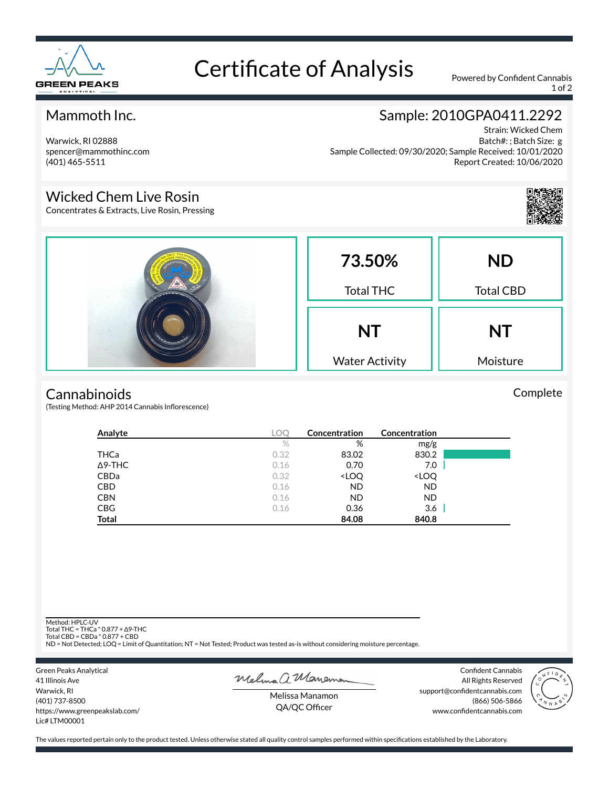

# Certificate of Analysis Powered by Confident Cannabis

1 of 2

## Mammoth Inc.

Warwick, RI 02888 spencer@mammothinc.com (401) 465-5511

# Sample: 2010GPA0411.2292

Strain: Wicked Chem Batch#: ; Batch Size: g Sample Collected: 09/30/2020; Sample Received: 10/01/2020 Report Created: 10/06/2020

### Wicked Chem Live Rosin

Concentrates & Extracts, Live Rosin, Pressing



Complete



#### **Cannabinoids**

(Testing Method: AHP 2014 Cannabis Inflorescence)

| Analyte        | LOC  | Concentration                                            | Concentration                |  |
|----------------|------|----------------------------------------------------------|------------------------------|--|
|                | $\%$ | %                                                        | mg/g                         |  |
| THCa           | 0.32 | 83.02                                                    | 830.2                        |  |
| $\Delta$ 9-THC | 0.16 | 0.70                                                     | 7.0                          |  |
| CBDa           | 0.32 | <loq< th=""><th><loq< th=""><th></th></loq<></th></loq<> | <loq< th=""><th></th></loq<> |  |
| <b>CBD</b>     | 0.16 | <b>ND</b>                                                | ND                           |  |
| <b>CBN</b>     | 0.16 | <b>ND</b>                                                | <b>ND</b>                    |  |
| <b>CBG</b>     | 0.16 | 0.36                                                     | 3.6                          |  |
| <b>Total</b>   |      | 84.08                                                    | 840.8                        |  |

Method: HPLC-UV

Total THC = THCa \* 0.877 + ∆9-THC Total CBD = CBDa \* 0.877 + CBD

ND = Not Detected; LOQ = Limit of Quantitation; NT = Not Tested; Product was tested as-is without considering moisture percentage.

Green Peaks Analytical 41 Illinois Ave Warwick, RI (401) 737-8500 https://www.greenpeakslab.com/ Lic# LTM00001

Melma a Maneman

Confident Cannabis All Rights Reserved support@confidentcannabis.com (866) 506-5866 www.confidentcannabis.com



Melissa Manamon QA/QC Officer

The values reported pertain only to the product tested. Unless otherwise stated all quality control samples performed within specifications established by the Laboratory.